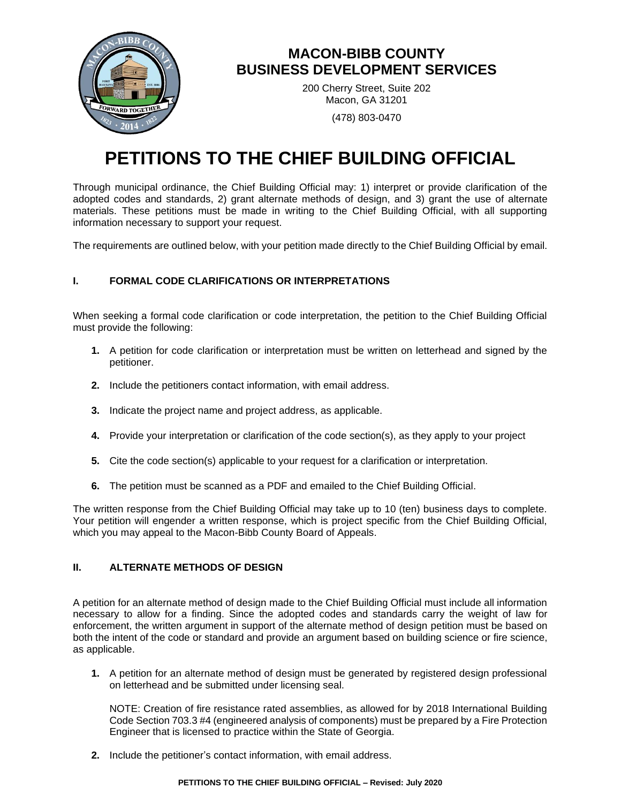

## **MACON-BIBB COUNTY BUSINESS DEVELOPMENT SERVICES**

200 Cherry Street, Suite 202 Macon, GA 31201

(478) 803-0470

# **PETITIONS TO THE CHIEF BUILDING OFFICIAL**

Through municipal ordinance, the Chief Building Official may: 1) interpret or provide clarification of the adopted codes and standards, 2) grant alternate methods of design, and 3) grant the use of alternate materials. These petitions must be made in writing to the Chief Building Official, with all supporting information necessary to support your request.

The requirements are outlined below, with your petition made directly to the Chief Building Official by email.

### **I. FORMAL CODE CLARIFICATIONS OR INTERPRETATIONS**

When seeking a formal code clarification or code interpretation, the petition to the Chief Building Official must provide the following:

- **1.** A petition for code clarification or interpretation must be written on letterhead and signed by the petitioner.
- **2.** Include the petitioners contact information, with email address.
- **3.** Indicate the project name and project address, as applicable.
- **4.** Provide your interpretation or clarification of the code section(s), as they apply to your project
- **5.** Cite the code section(s) applicable to your request for a clarification or interpretation.
- **6.** The petition must be scanned as a PDF and emailed to the Chief Building Official.

The written response from the Chief Building Official may take up to 10 (ten) business days to complete. Your petition will engender a written response, which is project specific from the Chief Building Official, which you may appeal to the Macon-Bibb County Board of Appeals.

#### **II. ALTERNATE METHODS OF DESIGN**

A petition for an alternate method of design made to the Chief Building Official must include all information necessary to allow for a finding. Since the adopted codes and standards carry the weight of law for enforcement, the written argument in support of the alternate method of design petition must be based on both the intent of the code or standard and provide an argument based on building science or fire science, as applicable.

**1.** A petition for an alternate method of design must be generated by registered design professional on letterhead and be submitted under licensing seal.

NOTE: Creation of fire resistance rated assemblies, as allowed for by 2018 International Building Code Section 703.3 #4 (engineered analysis of components) must be prepared by a Fire Protection Engineer that is licensed to practice within the State of Georgia.

**2.** Include the petitioner's contact information, with email address.